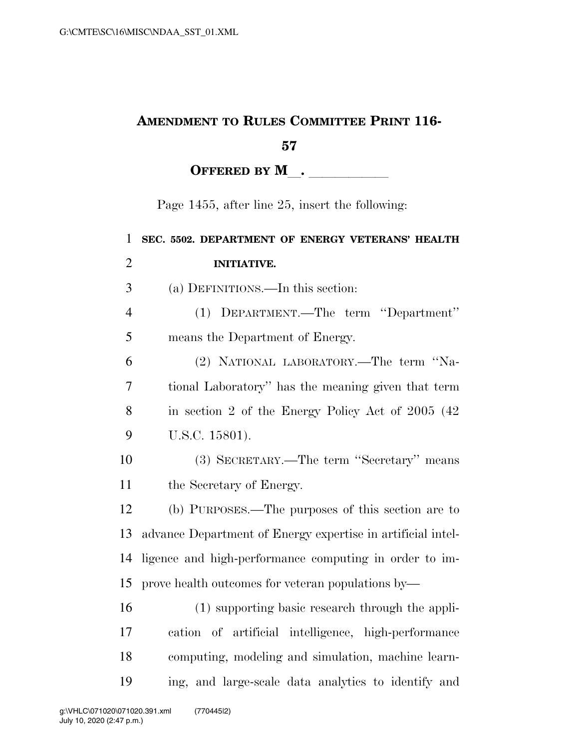## **AMENDMENT TO RULES COMMITTEE PRINT 116-**

## 

OFFERED BY M<sub>\_\_</sub>. \_\_\_\_\_\_\_\_\_\_

Page 1455, after line 25, insert the following:

| $\mathbf{1}$   | SEC. 5502. DEPARTMENT OF ENERGY VETERANS' HEALTH            |
|----------------|-------------------------------------------------------------|
| $\overline{2}$ | <b>INITIATIVE.</b>                                          |
| 3              | (a) DEFINITIONS.—In this section:                           |
| $\overline{4}$ | (1) DEPARTMENT.—The term "Department"                       |
| 5              | means the Department of Energy.                             |
| 6              | (2) NATIONAL LABORATORY.—The term "Na-                      |
| 7              | tional Laboratory" has the meaning given that term          |
| 8              | in section 2 of the Energy Policy Act of 2005 (42)          |
| 9              | U.S.C. 15801).                                              |
| 10             | (3) SECRETARY.—The term "Secretary" means                   |
| 11             | the Secretary of Energy.                                    |
| 12             | (b) PURPOSES.—The purposes of this section are to           |
| 13             | advance Department of Energy expertise in artificial intel- |
| 14             | ligence and high-performance computing in order to im-      |
| 15             | prove health outcomes for veteran populations by—           |
| 16             | (1) supporting basic research through the appli-            |
| 17             | cation of artificial intelligence, high-performance         |
| 18             | computing, modeling and simulation, machine learn-          |
| 19             | ing, and large-scale data analytics to identify and         |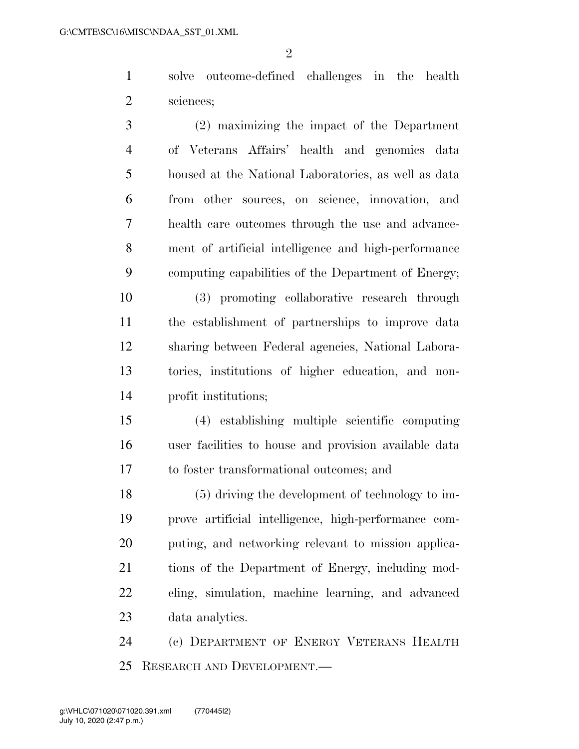$\mathfrak{D}$ 

 solve outcome-defined challenges in the health sciences;

 (2) maximizing the impact of the Department of Veterans Affairs' health and genomics data housed at the National Laboratories, as well as data from other sources, on science, innovation, and health care outcomes through the use and advance- ment of artificial intelligence and high-performance computing capabilities of the Department of Energy;

 (3) promoting collaborative research through the establishment of partnerships to improve data sharing between Federal agencies, National Labora- tories, institutions of higher education, and non-profit institutions;

 (4) establishing multiple scientific computing user facilities to house and provision available data to foster transformational outcomes; and

 (5) driving the development of technology to im- prove artificial intelligence, high-performance com- puting, and networking relevant to mission applica- tions of the Department of Energy, including mod- eling, simulation, machine learning, and advanced data analytics.

 (c) DEPARTMENT OF ENERGY VETERANS HEALTH RESEARCH AND DEVELOPMENT.—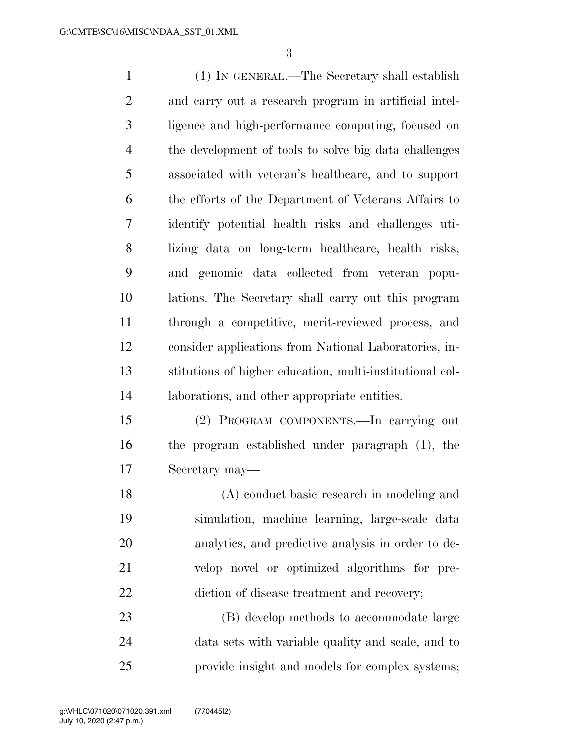(1) IN GENERAL.—The Secretary shall establish and carry out a research program in artificial intel- ligence and high-performance computing, focused on the development of tools to solve big data challenges associated with veteran's healthcare, and to support the efforts of the Department of Veterans Affairs to identify potential health risks and challenges uti-8 lizing data on long-term healthcare, health risks, and genomic data collected from veteran popu- lations. The Secretary shall carry out this program through a competitive, merit-reviewed process, and consider applications from National Laboratories, in- stitutions of higher education, multi-institutional col- laborations, and other appropriate entities. (2) PROGRAM COMPONENTS.—In carrying out the program established under paragraph (1), the Secretary may— (A) conduct basic research in modeling and simulation, machine learning, large-scale data analytics, and predictive analysis in order to de-

 velop novel or optimized algorithms for pre-22 diction of disease treatment and recovery;

 (B) develop methods to accommodate large data sets with variable quality and scale, and to provide insight and models for complex systems;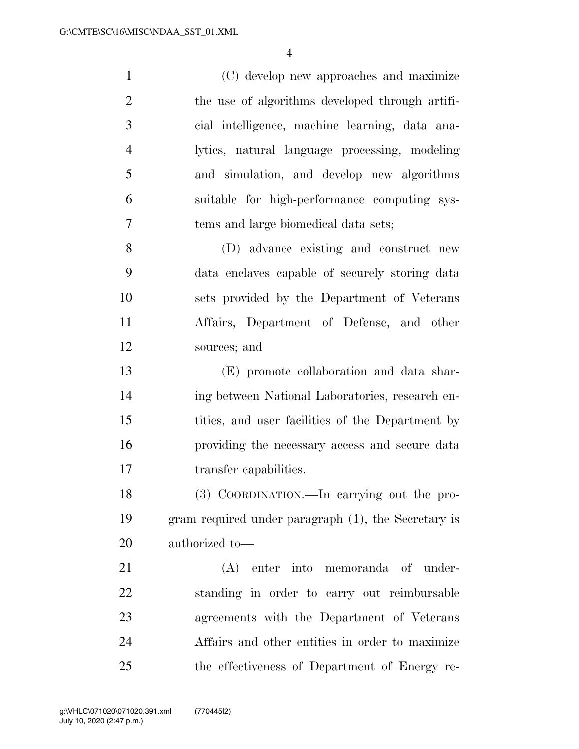(C) develop new approaches and maximize 2 the use of algorithms developed through artifi- cial intelligence, machine learning, data ana- lytics, natural language processing, modeling and simulation, and develop new algorithms suitable for high-performance computing sys- tems and large biomedical data sets; (D) advance existing and construct new data enclaves capable of securely storing data

 sets provided by the Department of Veterans Affairs, Department of Defense, and other sources; and

 (E) promote collaboration and data shar- ing between National Laboratories, research en- tities, and user facilities of the Department by providing the necessary access and secure data 17 transfer capabilities.

 (3) COORDINATION.—In carrying out the pro- gram required under paragraph (1), the Secretary is authorized to—

 (A) enter into memoranda of under- standing in order to carry out reimbursable agreements with the Department of Veterans Affairs and other entities in order to maximize the effectiveness of Department of Energy re-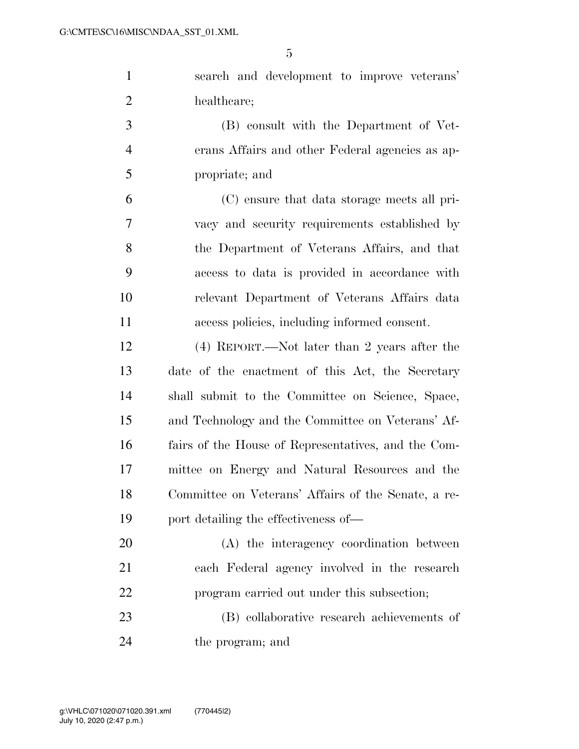| $\mathbf{1}$   | search and development to improve veterans'         |
|----------------|-----------------------------------------------------|
| $\overline{2}$ | healthcare;                                         |
| 3              | (B) consult with the Department of Vet-             |
| $\overline{4}$ | erans Affairs and other Federal agencies as ap-     |
| 5              | propriate; and                                      |
| 6              | (C) ensure that data storage meets all pri-         |
| 7              | vacy and security requirements established by       |
| 8              | the Department of Veterans Affairs, and that        |
| 9              | access to data is provided in accordance with       |
| 10             | relevant Department of Veterans Affairs data        |
| 11             | access policies, including informed consent.        |
| 12             | (4) REPORT.—Not later than 2 years after the        |
| 13             | date of the enactment of this Act, the Secretary    |
| 14             | shall submit to the Committee on Science, Space,    |
| 15             | and Technology and the Committee on Veterans' Af-   |
| 16             | fairs of the House of Representatives, and the Com- |
| 17             | mittee on Energy and Natural Resources and the      |
| 18             | Committee on Veterans' Affairs of the Senate, a re- |
| 19             | port detailing the effectiveness of—                |
| 20             | (A) the interagency coordination between            |
| 21             | each Federal agency involved in the research        |
| 22             | program carried out under this subsection;          |
| 23             | (B) collaborative research achievements of          |
|                |                                                     |

the program; and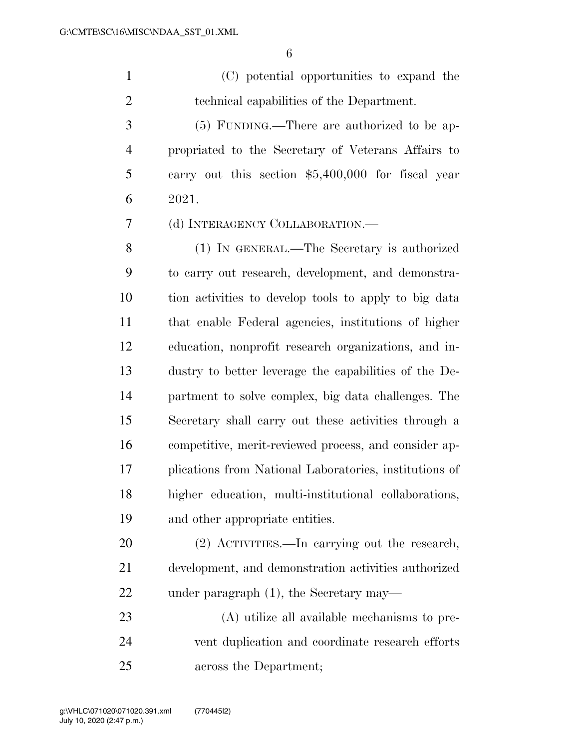(C) potential opportunities to expand the technical capabilities of the Department.

 (5) FUNDING.—There are authorized to be ap- propriated to the Secretary of Veterans Affairs to carry out this section \$5,400,000 for fiscal year 2021.

(d) INTERAGENCY COLLABORATION.—

 (1) IN GENERAL.—The Secretary is authorized to carry out research, development, and demonstra- tion activities to develop tools to apply to big data that enable Federal agencies, institutions of higher education, nonprofit research organizations, and in- dustry to better leverage the capabilities of the De- partment to solve complex, big data challenges. The Secretary shall carry out these activities through a competitive, merit-reviewed process, and consider ap- plications from National Laboratories, institutions of higher education, multi-institutional collaborations, and other appropriate entities.

 (2) ACTIVITIES.—In carrying out the research, development, and demonstration activities authorized under paragraph (1), the Secretary may—

 (A) utilize all available mechanisms to pre- vent duplication and coordinate research efforts across the Department;